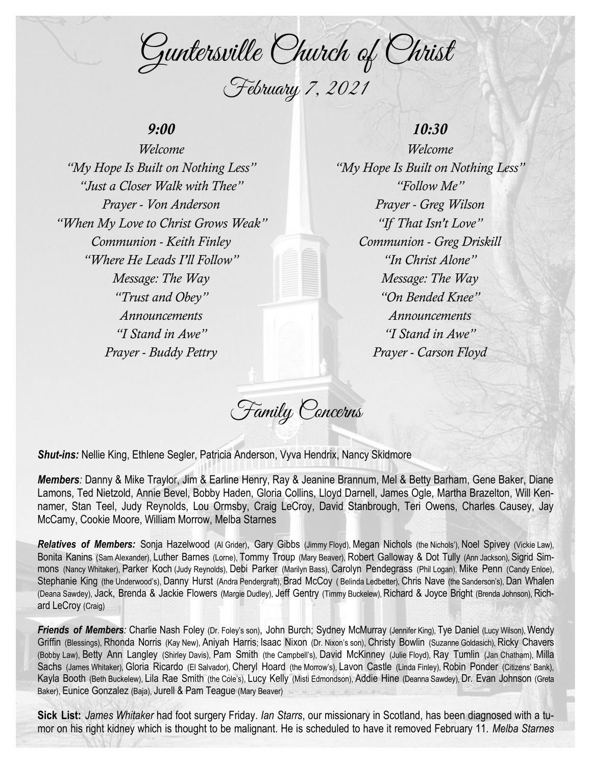Guntersville Church of Christ February 7, 2021

## *9:00*

*Welcome "My Hope Is Built on Nothing Less" "Just a Closer Walk with Thee" Prayer - Von Anderson "When My Love to Christ Grows Weak" Communion - Keith Finley "Where He Leads I'll Follow" Message: The Way "Trust and Obey" Announcements "I Stand in Awe" Prayer - Buddy Pettry*

## *10:30*

*Welcome "My Hope Is Built on Nothing Less" "Follow Me" Prayer - Greg Wilson "If That Isn't Love" Communion - Greg Driskill "In Christ Alone" Message: The Way "On Bended Knee" Announcements "I Stand in Awe" Prayer - Carson Floyd*

Family Concerns

*Shut-ins:* Nellie King, Ethlene Segler, Patricia Anderson, Vyva Hendrix, Nancy Skidmore

*Members:* Danny & Mike Traylor, Jim & Earline Henry, Ray & Jeanine Brannum, Mel & Betty Barham, Gene Baker, Diane Lamons, Ted Nietzold, Annie Bevel, Bobby Haden, Gloria Collins, Lloyd Darnell, James Ogle, Martha Brazelton, Will Kennamer, Stan Teel, Judy Reynolds, Lou Ormsby, Craig LeCroy, David Stanbrough, Teri Owens, Charles Causey, Jay McCamy, Cookie Moore, William Morrow, Melba Starnes

*Relatives of Members:* Sonja Hazelwood (Al Grider), Gary Gibbs (Jimmy Floyd), Megan Nichols (the Nichols'), Noel Spivey (Vickie Law), Bonita Kanins (Sam Alexander), Luther Barnes (Lorne), Tommy Troup (Mary Beaver), Robert Galloway & Dot Tully (Ann Jackson), Sigrid Simmons (Nancy Whitaker), Parker Koch (Judy Reynolds), Debi Parker (Marilyn Bass), Carolyn Pendegrass (Phil Logan), Mike Penn (Candy Enloe), Stephanie King (the Underwood's), Danny Hurst (Andra Pendergraft), Brad McCoy ( Belinda Ledbetter), Chris Nave (the Sanderson's), Dan Whalen (Deana Sawdey), Jack, Brenda & Jackie Flowers (Margie Dudley), Jeff Gentry (Timmy Buckelew), Richard & Joyce Bright (Brenda Johnson), Richard LeCroy (Craig)

*Friends of Members:* Charlie Nash Foley (Dr. Foley's son), John Burch; Sydney McMurray (Jennifer King), Tye Daniel (Lucy Wilson), Wendy Griffin (Blessings), Rhonda Norris (Kay New), Aniyah Harris; Isaac Nixon (Dr. Nixon's son), Christy Bowlin (Suzanne Goldasich), Ricky Chavers (Bobby Law), Betty Ann Langley (Shirley Davis), Pam Smith (the Campbell's), David McKinney (Julie Floyd), Ray Tumlin (Jan Chatham), Milla Sachs (James Whitaker), Gloria Ricardo (El Salvador), Cheryl Hoard (the Morrow's), Lavon Castle (Linda Finley), Robin Ponder (Citizens' Bank), Kayla Booth (Beth Buckelew), Lila Rae Smith (the Cole's), Lucy Kelly (Misti Edmondson), Addie Hine (Deanna Sawdey), Dr. Evan Johnson (Greta Baker), Eunice Gonzalez (Baja), Jurell & Pam Teague (Mary Beaver)

**Sick List:** *James Whitaker* had foot surgery Friday. *Ian Starrs*, our missionary in Scotland, has been diagnosed with a tumor on his right kidney which is thought to be malignant. He is scheduled to have it removed February 11. *Melba Starnes*